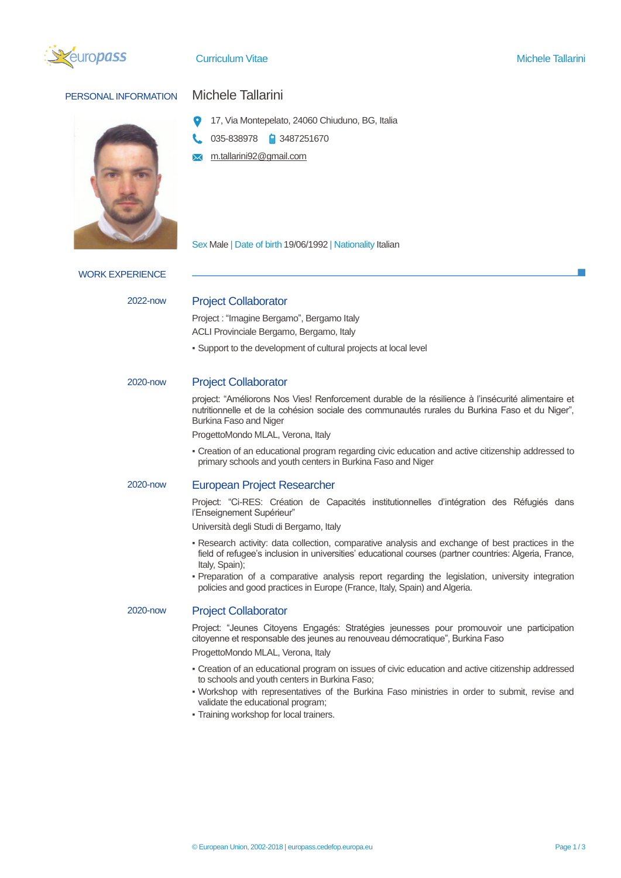

**Curriculum Vitae Michele Tallarini** Curriculum Vitae Michele Tallarini

# PERSONAL INFORMATION Michele Tallarini

- 17, Via Montepelato, 24060 Chiuduno, BG, Italia
- 035-838978 3487251670
- m.tallarini92@gmail.com  $\overline{\mathbf{x}}$

Sex Male | Date of birth 19/06/1992 | Nationality Italian

WORK EXPERIENCE

## 2022-now Project Collaborator

Project : "Imagine Bergamo", Bergamo Italy ACLI Provinciale Bergamo, Bergamo, Italy

▪ Support to the development of cultural projects at local level

## 2020-now Project Collaborator

project: "Améliorons Nos Vies! Renforcement durable de la résilience à l'insécurité alimentaire et nutritionnelle et de la cohésion sociale des communautés rurales du Burkina Faso et du Niger", Burkina Faso and Niger

ProgettoMondo MLAL, Verona, Italy

▪ Creation of an educational program regarding civic education and active citizenship addressed to primary schools and youth centers in Burkina Faso and Niger

## 2020-now European Project Researcher

Project: "Ci-RES: Création de Capacités institutionnelles d'intégration des Réfugiés dans l'Enseignement Supérieur"

Università degli Studi di Bergamo, Italy

- Research activity: data collection, comparative analysis and exchange of best practices in the field of refugee's inclusion in universities' educational courses (partner countries: Algeria, France, Italy, Spain);
- Preparation of a comparative analysis report regarding the legislation, university integration policies and good practices in Europe (France, Italy, Spain) and Algeria.

### 2020-now Project Collaborator

Project: "Jeunes Citoyens Engagés: Stratégies jeunesses pour promouvoir une participation citoyenne et responsable des jeunes au renouveau démocratique", Burkina Faso

ProgettoMondo MLAL, Verona, Italy

- Creation of an educational program on issues of civic education and active citizenship addressed to schools and youth centers in Burkina Faso;
- Workshop with representatives of the Burkina Faso ministries in order to submit, revise and validate the educational program;
- Training workshop for local trainers.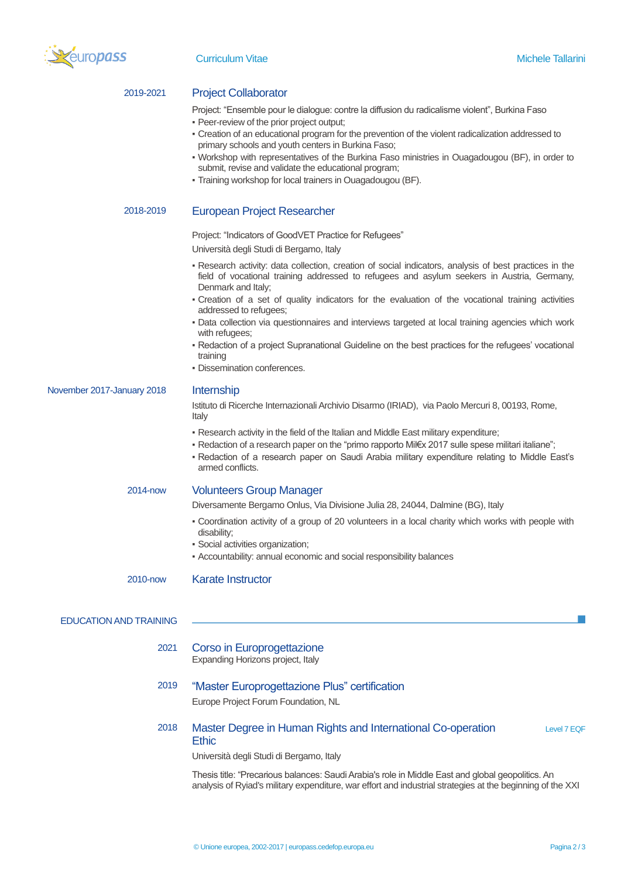

## 2019-2021 Project Collaborator

Project: "Ensemble pour le dialogue: contre la diffusion du radicalisme violent", Burkina Faso ▪ Peer-review of the prior project output;

- Creation of an educational program for the prevention of the violent radicalization addressed to primary schools and youth centers in Burkina Faso;
- Workshop with representatives of the Burkina Faso ministries in Ouagadougou (BF), in order to submit, revise and validate the educational program;
- Training workshop for local trainers in Ouagadougou (BF).

## 2018-2019 European Project Researcher

Project: "Indicators of GoodVET Practice for Refugees"

Università degli Studi di Bergamo, Italy

- Research activity: data collection, creation of social indicators, analysis of best practices in the field of vocational training addressed to refugees and asylum seekers in Austria, Germany, Denmark and Italy;
- Creation of a set of quality indicators for the evaluation of the vocational training activities addressed to refugees;
- Data collection via questionnaires and interviews targeted at local training agencies which work with refugees;
- Redaction of a project Supranational Guideline on the best practices for the refugees' vocational training
- **Dissemination conferences.**

November 2017-January 2018 Internship

Istituto di Ricerche Internazionali Archivio Disarmo (IRIAD), via Paolo Mercuri 8, 00193, Rome, Italy

- Research activity in the field of the Italian and Middle East military expenditure;
- Redaction of a research paper on the "primo rapporto Mil€x 2017 sulle spese militari italiane";
- Redaction of a research paper on Saudi Arabia military expenditure relating to Middle East's armed conflicts.

### 2014-now Volunteers Group Manager

Diversamente Bergamo Onlus, Via Divisione Julia 28, 24044, Dalmine (BG), Italy

- Coordination activity of a group of 20 volunteers in a local charity which works with people with disability;
- Social activities organization;
- Accountability: annual economic and social responsibility balances

2010-now Karate Instructor

## EDUCATION AND TRAINING

- 2021 Corso in Europrogettazione Expanding Horizons project, Italy
- 2019 "Master Europrogettazione Plus" certification Europe Project Forum Foundation, NL
- 2018 Master Degree in Human Rights and International Co-operation Ethic Level 7 EQF

Università degli Studi di Bergamo, Italy

Thesis title: "Precarious balances: Saudi Arabia's role in Middle East and global geopolitics. An analysis of Ryiad's military expenditure, war effort and industrial strategies at the beginning of the XXI